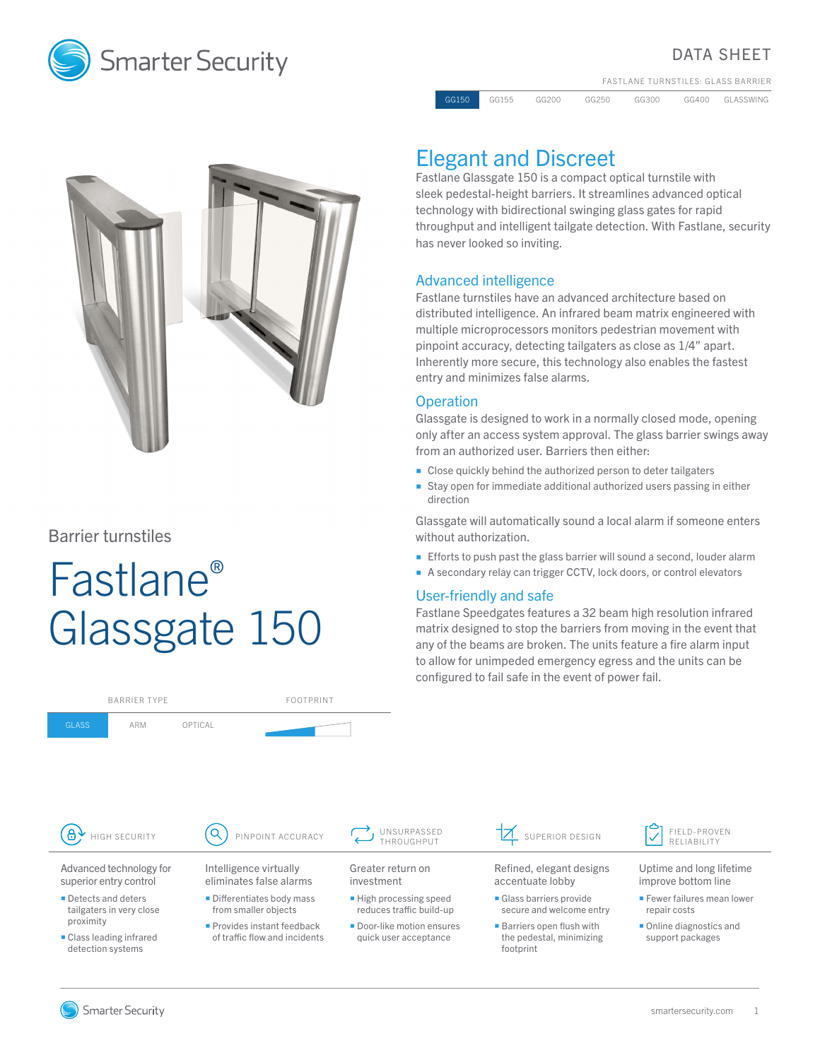

## DATA SHEET

FASTLANE TURNSTILES: GLASS BARRIER

GG150 GG155 GG200 GG250 GG300 GG400 GLASSWING



### Barrier turnstiles

GLASS ARM OPTICAL

# Fastlane® Glassgate 150

BARRIER TYPE FOOTPRINT

# Elegant and Discreet

Fastlane Glassgate 150 is a compact optical turnstile with sleek pedestal-height barriers. It streamlines advanced optical technology with bidirectional swinging glass gates for rapid throughput and intelligent tailgate detection. With Fastlane, security has never looked so inviting.

#### Advanced intelligence

Fastlane turnstiles have an advanced architecture based on distributed intelligence. An infrared beam matrix engineered with multiple microprocessors monitors pedestrian movement with pinpoint accuracy, detecting tailgaters as close as 1/4" apart. Inherently more secure, this technology also enables the fastest entry and minimizes false alarms.

#### **Operation**

Glassgate is designed to work in a normally closed mode, opening only after an access system approval. The glass barrier swings away from an authorized user. Barriers then either:

- Close quickly behind the authorized person to deter tailgaters
- Stay open for immediate additional authorized users passing in either direction

Glassgate will automatically sound a local alarm if someone enters without authorization.

- **Efforts to push past the glass barrier will sound a second, louder alarm**
- A secondary relay can trigger CCTV, lock doors, or control elevators

#### User-friendly and safe

Fastlane Speedgates features a 32 beam high resolution infrared matrix designed to stop the barriers from moving in the event that any of the beams are broken. The units feature a fire alarm input to allow for unimpeded emergency egress and the units can be configured to fail safe in the event of power fail.